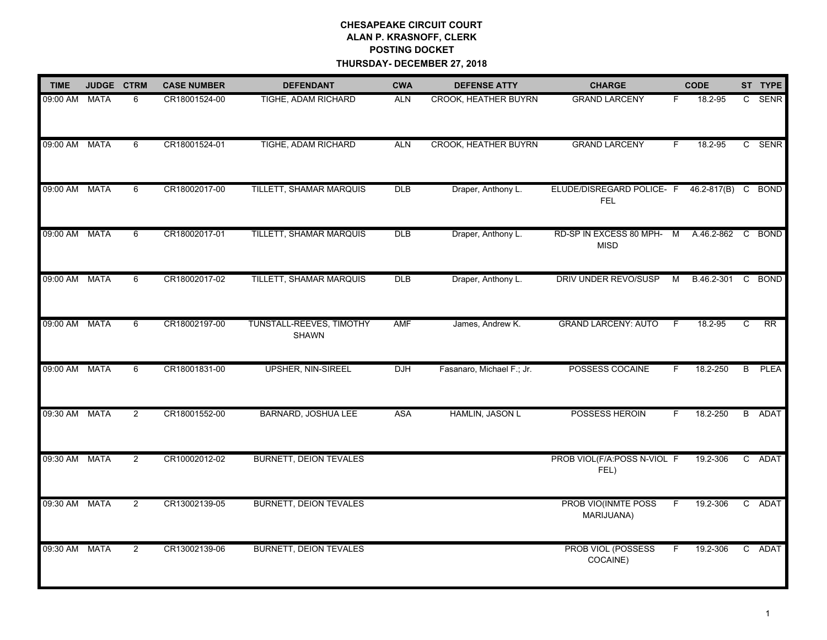## **CHESAPEAKE CIRCUIT COURT ALAN P. KRASNOFF, CLERK POSTING DOCKET THURSDAY- DECEMBER 27, 2018**

| <b>TIME</b>   | <b>JUDGE</b> | <b>CTRM</b>    | <b>CASE NUMBER</b> | <b>DEFENDANT</b>                         | <b>CWA</b> | <b>DEFENSE ATTY</b>         | <b>CHARGE</b>                            |              | <b>CODE</b>        |              | ST TYPE         |
|---------------|--------------|----------------|--------------------|------------------------------------------|------------|-----------------------------|------------------------------------------|--------------|--------------------|--------------|-----------------|
| 09:00 AM      | <b>MATA</b>  | 6              | CR18001524-00      | TIGHE, ADAM RICHARD                      | <b>ALN</b> | <b>CROOK, HEATHER BUYRN</b> | <b>GRAND LARCENY</b>                     | F.           | 18.2-95            | $\mathbf{C}$ | SENR            |
| 09:00 AM MATA |              | 6              | CR18001524-01      | TIGHE, ADAM RICHARD                      | <b>ALN</b> | <b>CROOK, HEATHER BUYRN</b> | <b>GRAND LARCENY</b>                     | F            | $18.2 - 95$        |              | C SENR          |
| 09:00 AM      | <b>MATA</b>  | 6              | CR18002017-00      | TILLETT, SHAMAR MARQUIS                  | DLB        | Draper, Anthony L.          | ELUDE/DISREGARD POLICE- F<br><b>FEL</b>  |              | 46.2-817(B) C BOND |              |                 |
| 09:00 AM MATA |              | 6              | CR18002017-01      | TILLETT, SHAMAR MARQUIS                  | DLB        | Draper, Anthony L.          | RD-SP IN EXCESS 80 MPH- M<br><b>MISD</b> |              | A.46.2-862         |              | C BOND          |
| 09:00 AM      | <b>MATA</b>  | 6              | CR18002017-02      | TILLETT, SHAMAR MARQUIS                  | DLB        | Draper, Anthony L.          | DRIV UNDER REVO/SUSP                     | м            | B.46.2-301         |              | C BOND          |
| 09:00 AM MATA |              | 6              | CR18002197-00      | TUNSTALL-REEVES, TIMOTHY<br><b>SHAWN</b> | AMF        | James, Andrew K.            | <b>GRAND LARCENY: AUTO</b>               | $\mathsf{F}$ | 18.2-95            | C            | $\overline{RR}$ |
| 09:00 AM MATA |              | 6              | CR18001831-00      | <b>UPSHER, NIN-SIREEL</b>                | <b>DJH</b> | Fasanaro, Michael F.; Jr.   | POSSESS COCAINE                          |              | 18.2-250           | B            | <b>PLEA</b>     |
| 09:30 AM      | <b>MATA</b>  | $\overline{2}$ | CR18001552-00      | BARNARD, JOSHUA LEE                      | <b>ASA</b> | HAMLIN, JASON L             | POSSESS HEROIN                           | F            | 18.2-250           |              | B ADAT          |
| 09:30 AM      | <b>MATA</b>  | $\overline{2}$ | CR10002012-02      | <b>BURNETT, DEION TEVALES</b>            |            |                             | PROB VIOL(F/A:POSS N-VIOL F<br>FEL)      |              | 19.2-306           |              | C ADAT          |
| 09:30 AM      | <b>MATA</b>  | $\overline{2}$ | CR13002139-05      | <b>BURNETT, DEION TEVALES</b>            |            |                             | PROB VIO(INMTE POSS<br>MARIJUANA)        | F            | 19.2-306           |              | C ADAT          |
| 09:30 AM MATA |              | $\overline{2}$ | CR13002139-06      | <b>BURNETT, DEION TEVALES</b>            |            |                             | PROB VIOL (POSSESS<br>COCAINE)           | F            | 19.2-306           | C            | ADAT            |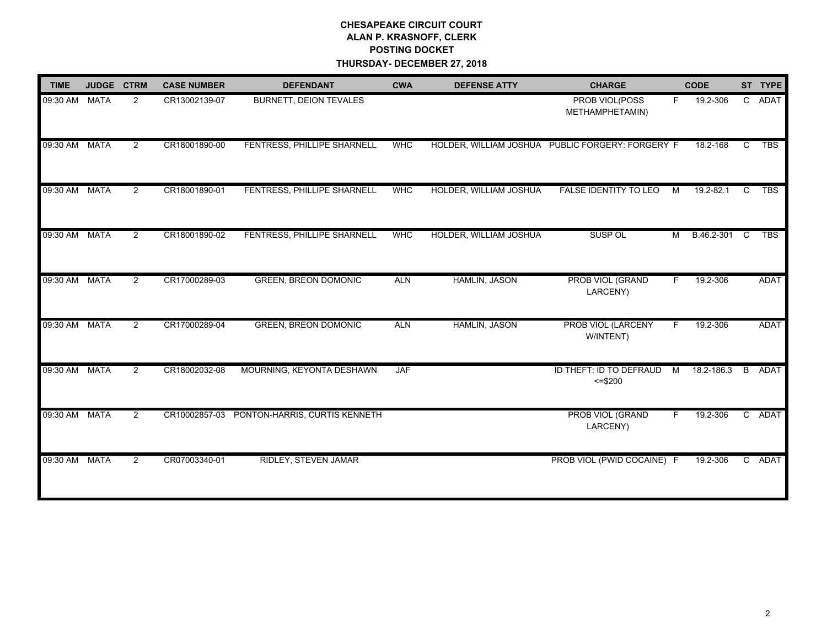## **CHESAPEAKE CIRCUIT COURT ALAN P. KRASNOFF, CLERK POSTING DOCKET THURSDAY- DECEMBER 27, 2018**

| <b>TIME</b> | JUDGE CTRM  |                | <b>CASE NUMBER</b> | <b>DEFENDANT</b>              | <b>CWA</b> | <b>DEFENSE ATTY</b>    | <b>CHARGE</b>                                    |                | <b>CODE</b> |    | ST TYPE     |
|-------------|-------------|----------------|--------------------|-------------------------------|------------|------------------------|--------------------------------------------------|----------------|-------------|----|-------------|
| 09:30 AM    | <b>MATA</b> | $\overline{2}$ | CR13002139-07      | <b>BURNETT, DEION TEVALES</b> |            |                        | PROB VIOL(POSS<br>METHAMPHETAMIN)                | F.             | 19.2-306    |    | C ADAT      |
| 09:30 AM    | <b>MATA</b> | $\overline{2}$ | CR18001890-00      | FENTRESS, PHILLIPE SHARNELL   | <b>WHC</b> |                        | HOLDER, WILLIAM JOSHUA PUBLIC FORGERY: FORGERY F |                | 18.2-168    | C  | <b>TBS</b>  |
| 09:30 AM    | <b>MATA</b> | $\overline{2}$ | CR18001890-01      | FENTRESS, PHILLIPE SHARNELL   | <b>WHC</b> | HOLDER, WILLIAM JOSHUA | <b>FALSE IDENTITY TO LEO</b>                     | м              | 19.2-82.1   | C  | <b>TBS</b>  |
| 09:30 AM    | <b>MATA</b> | $\overline{2}$ | CR18001890-02      | FENTRESS, PHILLIPE SHARNELL   | <b>WHC</b> | HOLDER, WILLIAM JOSHUA | SUSP OL                                          | м              | B.46.2-301  | C. | <b>TBS</b>  |
| 09:30 AM    | <b>MATA</b> | $\overline{2}$ | CR17000289-03      | <b>GREEN, BREON DOMONIC</b>   | <b>ALN</b> | <b>HAMLIN, JASON</b>   | PROB VIOL (GRAND<br>LARCENY)                     | F.             | 19.2-306    |    | <b>ADAT</b> |
| 09:30 AM    | MATA        | $\overline{2}$ | CR17000289-04      | <b>GREEN, BREON DOMONIC</b>   | <b>ALN</b> | <b>HAMLIN, JASON</b>   | PROB VIOL (LARCENY<br>W/INTENT)                  | F.             | 19.2-306    |    | ADAT        |
| 09:30 AM    | <b>MATA</b> | $\overline{2}$ | CR18002032-08      | MOURNING, KEYONTA DESHAWN     | <b>JAF</b> |                        | ID THEFT: ID TO DEFRAUD<br>$= $200$              | $\overline{M}$ | 18.2-186.3  | B  | ADAT        |
| 09:30 AM    | <b>MATA</b> | $\overline{2}$ | CR10002857-03      | PONTON-HARRIS, CURTIS KENNETH |            |                        | PROB VIOL (GRAND<br>LARCENY)                     | F.             | 19.2-306    |    | C ADAT      |
| 09:30 AM    | <b>MATA</b> | $\overline{2}$ | CR07003340-01      | <b>RIDLEY, STEVEN JAMAR</b>   |            |                        | PROB VIOL (PWID COCAINE) F                       |                | 19.2-306    |    | C ADAT      |